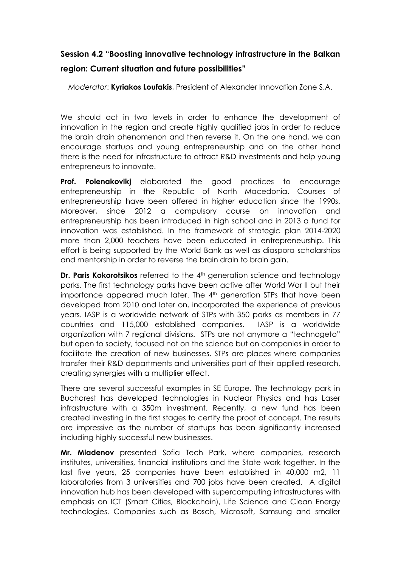## **Session 4.2 "Boosting innovative technology infrastructure in the Balkan**

## **region: Current situation and future possibilities"**

*Moderator*: **Kyriakos Loufakis**, President of Alexander Innovation Zone S.A.

We should act in two levels in order to enhance the development of innovation in the region and create highly qualified jobs in order to reduce the brain drain phenomenon and then reverse it. On the one hand, we can encourage startups and young entrepreneurship and on the other hand there is the need for infrastructure to attract R&D investments and help young entrepreneurs to innovate.

**Prof. Polenakovikj** elaborated the good practices to encourage entrepreneurship in the Republic of North Macedonia. Courses of entrepreneurship have been offered in higher education since the 1990s. Moreover, since 2012 a compulsory course on innovation and entrepreneurship has been introduced in high school and in 2013 a fund for innovation was established. In the framework of strategic plan 2014-2020 more than 2,000 teachers have been educated in entrepreneurship. This effort is being supported by the World Bank as well as diaspora scholarships and mentorship in order to reverse the brain drain to brain gain.

**Dr. Paris Kokorotsikos** referred to the 4<sup>th</sup> generation science and technology parks. The first technology parks have been active after World War II but their importance appeared much later. The 4<sup>th</sup> generation STPs that have been developed from 2010 and later on, incorporated the experience of previous years. IASP is a worldwide network of STPs with 350 parks as members in 77 countries and 115,000 established companies. IASP is a worldwide organization with 7 regional divisions. STPs are not anymore a "technogeto" but open to society, focused not on the science but on companies in order to facilitate the creation of new businesses. STPs are places where companies transfer their R&D departments and universities part of their applied research, creating synergies with a multiplier effect.

There are several successful examples in SE Europe. The technology park in Bucharest has developed technologies in Nuclear Physics and has Laser infrastructure with a 350m investment. Recently, a new fund has been created investing in the first stages to certify the proof of concept. The results are impressive as the number of startups has been significantly increased including highly successful new businesses.

**Mr. Mladenov** presented Sofia Tech Park, where companies, research institutes, universities, financial institutions and the State work together. In the last five years, 25 companies have been established in 40,000 m2, 11 laboratories from 3 universities and 700 jobs have been created. A digital innovation hub has been developed with supercomputing infrastructures with emphasis on ICT (Smart Cities, Blockchain), Life Science and Clean Energy technologies. Companies such as Bosch, Microsoft, Samsung and smaller